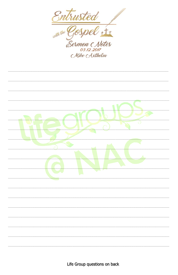

Life Group questions on back